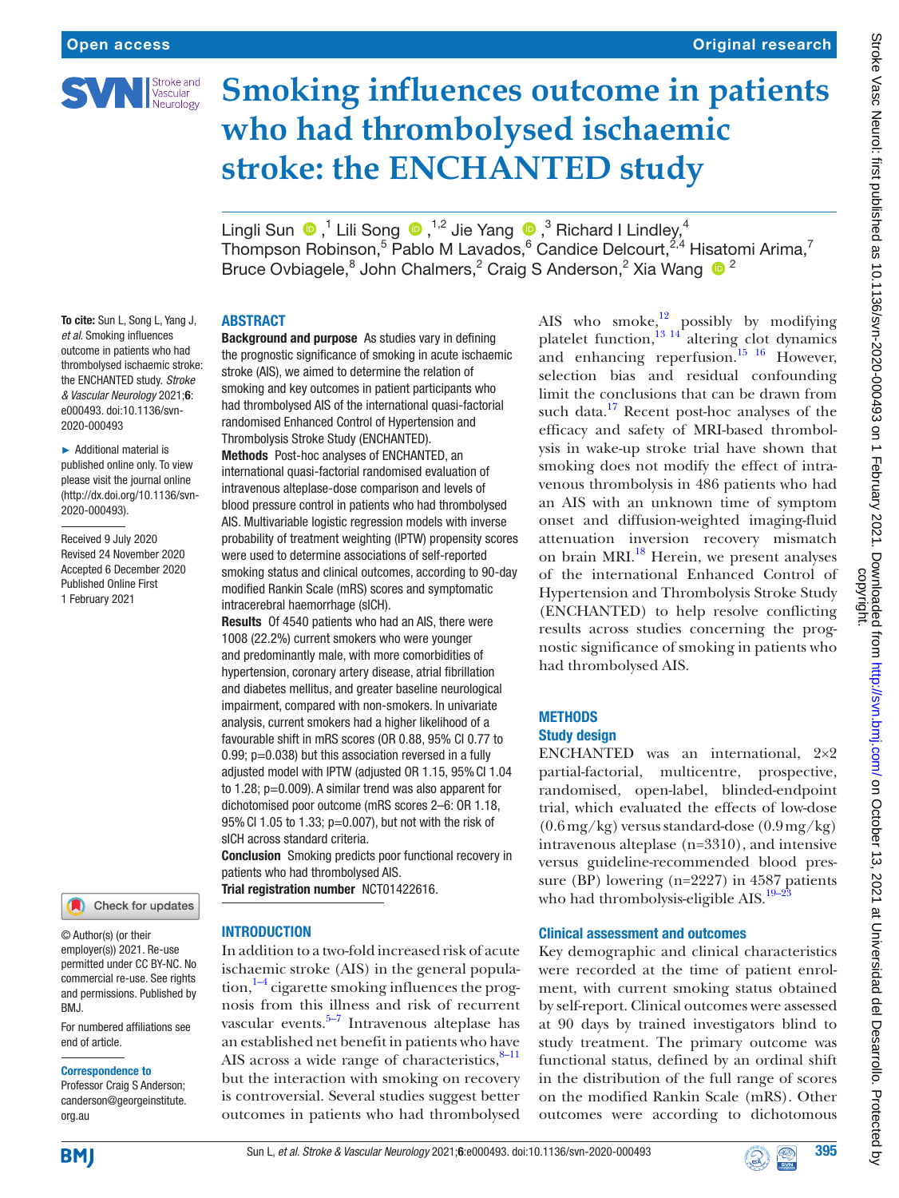

# **Smoking influences outcome in patients who had thrombolysed ischaemic stroke: the ENCHANTED study**

LingliSun  $\bigcirc$ , 1 Lili Song  $\bigcirc$ , <sup>1,2</sup> Jie Yang  $\bigcirc$ , <sup>3</sup> Richard I Lindley,<sup>4</sup> Thompson Robinson,<sup>5</sup> Pablo M Lavados,<sup>6</sup> Candice Delcourt,<sup>2,4</sup> Hisatomi Arima,<sup>7</sup> Bruce Ovbiagele, <sup>8</sup> John Chalmers, <sup>2</sup> Craig S Anderson, <sup>2</sup> Xia Wang <sup>6</sup>

# ABSTRACT

To cite: Sun L, Song L, Yang J, *et al*. Smoking influences outcome in patients who had thrombolysed ischaemic stroke: the ENCHANTED study. *Stroke & Vascular Neurology* 2021;6: e000493. doi:10.1136/svn-2020-000493

► Additional material is published online only. To view please visit the journal online (http://dx.doi.org/10.1136/svn-2020-000493).

Received 9 July 2020 Revised 24 November 2020 Accepted 6 December 2020 Published Online First 1 February 2021



© Author(s) (or their employer(s)) 2021. Re-use permitted under CC BY-NC. No commercial re-use. See rights and permissions. Published by BMJ.

For numbered affiliations see end of article.

#### Correspondence to

Professor Craig S Anderson; canderson@georgeinstitute. org.au

Background and purpose As studies vary in defining the prognostic significance of smoking in acute ischaemic stroke (AIS), we aimed to determine the relation of smoking and key outcomes in patient participants who had thrombolysed AIS of the international quasi-factorial randomised Enhanced Control of Hypertension and Thrombolysis Stroke Study (ENCHANTED).

Methods Post-hoc analyses of ENCHANTED, an international quasi-factorial randomised evaluation of intravenous alteplase-dose comparison and levels of blood pressure control in patients who had thrombolysed AIS. Multivariable logistic regression models with inverse probability of treatment weighting (IPTW) propensity scores were used to determine associations of self-reported smoking status and clinical outcomes, according to 90-day modified Rankin Scale (mRS) scores and symptomatic intracerebral haemorrhage (sICH).

Results Of 4540 patients who had an AIS, there were 1008 (22.2%) current smokers who were younger and predominantly male, with more comorbidities of hypertension, coronary artery disease, atrial fibrillation and diabetes mellitus, and greater baseline neurological impairment, compared with non-smokers. In univariate analysis, current smokers had a higher likelihood of a favourable shift in mRS scores (OR 0.88, 95% CI 0.77 to 0.99; p=0.038) but this association reversed in a fully adjusted model with IPTW (adjusted OR 1.15, 95%CI 1.04 to 1.28; p=0.009). A similar trend was also apparent for dichotomised poor outcome (mRS scores 2–6: OR 1.18, 95%CI 1.05 to 1.33; p=0.007), but not with the risk of sICH across standard criteria.

Conclusion Smoking predicts poor functional recovery in patients who had thrombolysed AIS. Trial registration number <NCT01422616>.

**INTRODUCTION** 

In addition to a two-fold increased risk of acute ischaemic stroke (AIS) in the general popula- $\frac{1}{4}$  cigarette smoking influences the prognosis from this illness and risk of recurrent vascular events. $5-7$  Intravenous alteplase has an established net benefit in patients who have AIS across a wide range of characteristics, $8-11$ but the interaction with smoking on recovery is controversial. Several studies suggest better outcomes in patients who had thrombolysed

AIS who smoke, $^{12}$  possibly by modifying platelet function,<sup>13 14</sup> altering clot dynamics and enhancing reperfusion.<sup>15</sup> <sup>16</sup> However, selection bias and residual confounding limit the conclusions that can be drawn from such data.<sup>17</sup> Recent post-hoc analyses of the efficacy and safety of MRI-based thrombolysis in wake-up stroke trial have shown that smoking does not modify the effect of intravenous thrombolysis in 486 patients who had an AIS with an unknown time of symptom onset and diffusion-weighted imaging-fluid attenuation inversion recovery mismatch on brain MRI.<sup>18</sup> Herein, we present analyses of the international Enhanced Control of Hypertension and Thrombolysis Stroke Study (ENCHANTED) to help resolve conflicting results across studies concerning the prognostic significance of smoking in patients who had thrombolysed AIS.

# **METHODS**

## Study design

ENCHANTED was an international, 2×2 partial-factorial, multicentre, prospective, randomised, open-label, blinded-endpoint trial, which evaluated the effects of low-dose (0.6mg/kg) versus standard-dose (0.9mg/kg) intravenous alteplase (n=3310), and intensive versus guideline-recommended blood pressure (BP) lowering (n=2227) in 4587 patients who had thrombolysis-eligible AIS. $19-2$ 

# Clinical assessment and outcomes

Key demographic and clinical characteristics were recorded at the time of patient enrolment, with current smoking status obtained by self-report. Clinical outcomes were assessed at 90 days by trained investigators blind to study treatment. The primary outcome was functional status, defined by an ordinal shift in the distribution of the full range of scores on the modified Rankin Scale (mRS). Other outcomes were according to dichotomous



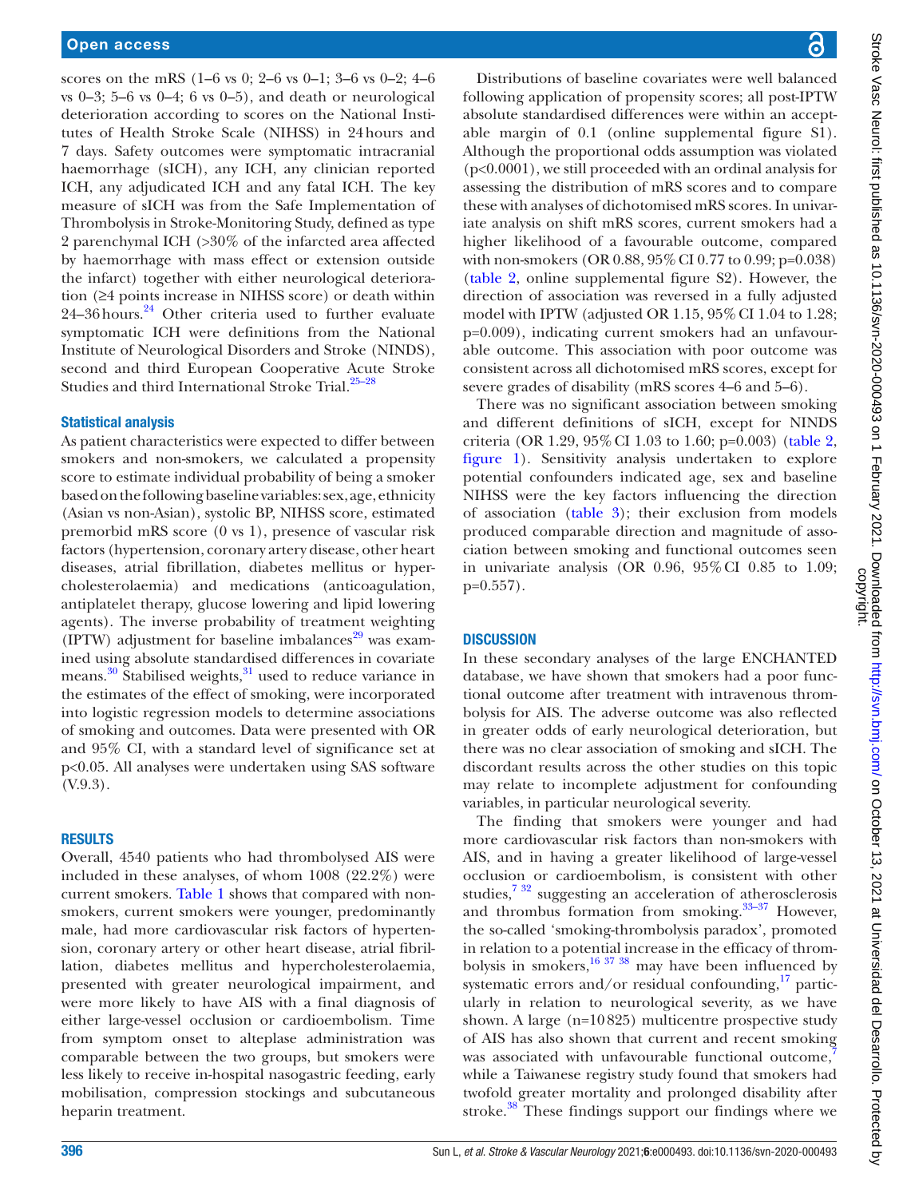scores on the mRS (1–6 vs 0; 2–6 vs 0–1; 3–6 vs 0–2; 4–6 vs  $0-3$ ;  $5-6$  vs  $0-4$ ;  $6$  vs  $0-5$ ), and death or neurological deterioration according to scores on the National Institutes of Health Stroke Scale (NIHSS) in 24hours and 7 days. Safety outcomes were symptomatic intracranial haemorrhage (sICH), any ICH, any clinician reported ICH, any adjudicated ICH and any fatal ICH. The key measure of sICH was from the Safe Implementation of Thrombolysis in Stroke-Monitoring Study, defined as type 2 parenchymal ICH (>30% of the infarcted area affected by haemorrhage with mass effect or extension outside the infarct) together with either neurological deterioration (≥4 points increase in NIHSS score) or death within 24–36 hours.<sup>24</sup> Other criteria used to further evaluate symptomatic ICH were definitions from the National Institute of Neurological Disorders and Stroke (NINDS), second and third European Cooperative Acute Stroke Studies and third International Stroke Trial.<sup>25–28</sup>

#### Statistical analysis

As patient characteristics were expected to differ between smokers and non-smokers, we calculated a propensity score to estimate individual probability of being a smoker based on the following baseline variables: sex, age, ethnicity (Asian vs non-Asian), systolic BP, NIHSS score, estimated premorbid mRS score (0 vs 1), presence of vascular risk factors (hypertension, coronary artery disease, other heart diseases, atrial fibrillation, diabetes mellitus or hypercholesterolaemia) and medications (anticoagulation, antiplatelet therapy, glucose lowering and lipid lowering agents). The inverse probability of treatment weighting (IPTW) adjustment for baseline imbalances<sup>29</sup> was examined using absolute standardised differences in covariate means.<sup>30</sup> Stabilised weights,<sup>31</sup> used to reduce variance in the estimates of the effect of smoking, were incorporated into logistic regression models to determine associations of smoking and outcomes. Data were presented with OR and 95% CI, with a standard level of significance set at p<0.05. All analyses were undertaken using SAS software (V.9.3).

#### RESULTS

Overall, 4540 patients who had thrombolysed AIS were included in these analyses, of whom 1008 (22.2%) were current smokers. [Table](#page-2-0) 1 shows that compared with nonsmokers, current smokers were younger, predominantly male, had more cardiovascular risk factors of hypertension, coronary artery or other heart disease, atrial fibrillation, diabetes mellitus and hypercholesterolaemia, presented with greater neurological impairment, and were more likely to have AIS with a final diagnosis of either large-vessel occlusion or cardioembolism. Time from symptom onset to alteplase administration was comparable between the two groups, but smokers were less likely to receive in-hospital nasogastric feeding, early mobilisation, compression stockings and subcutaneous heparin treatment.

Distributions of baseline covariates were well balanced following application of propensity scores; all post-IPTW absolute standardised differences were within an acceptable margin of 0.1 [\(online supplemental figure S1\)](https://dx.doi.org/10.1136/svn-2020-000493). Although the proportional odds assumption was violated (p<0.0001), we still proceeded with an ordinal analysis for assessing the distribution of mRS scores and to compare these with analyses of dichotomised mRS scores. In univariate analysis on shift mRS scores, current smokers had a higher likelihood of a favourable outcome, compared with non-smokers (OR 0.88, 95% CI 0.77 to 0.99; p=0.038) [\(table](#page-3-0) 2, [online supplemental figure S2](https://dx.doi.org/10.1136/svn-2020-000493)). However, the direction of association was reversed in a fully adjusted model with IPTW (adjusted OR  $1.15$ ,  $95\%$  CI 1.04 to 1.28; p=0.009), indicating current smokers had an unfavourable outcome. This association with poor outcome was consistent across all dichotomised mRS scores, except for severe grades of disability (mRS scores 4–6 and 5–6).

There was no significant association between smoking and different definitions of sICH, except for NINDS criteria (OR 1.29, 95%CI 1.03 to 1.60; p=0.003) ([table](#page-3-0) 2, [figure](#page-4-0) 1). Sensitivity analysis undertaken to explore potential confounders indicated age, sex and baseline NIHSS were the key factors influencing the direction of association [\(table](#page-4-1) 3); their exclusion from models produced comparable direction and magnitude of association between smoking and functional outcomes seen in univariate analysis (OR 0.96, 95%CI 0.85 to 1.09; p=0.557).

### **DISCUSSION**

In these secondary analyses of the large ENCHANTED database, we have shown that smokers had a poor functional outcome after treatment with intravenous thrombolysis for AIS. The adverse outcome was also reflected in greater odds of early neurological deterioration, but there was no clear association of smoking and sICH. The discordant results across the other studies on this topic may relate to incomplete adjustment for confounding variables, in particular neurological severity.

The finding that smokers were younger and had more cardiovascular risk factors than non-smokers with AIS, and in having a greater likelihood of large-vessel occlusion or cardioembolism, is consistent with other studies[,7 32](#page-5-14) suggesting an acceleration of atherosclerosis and thrombus formation from smoking. $33-37$  However, the so-called 'smoking-thrombolysis paradox', promoted in relation to a potential increase in the efficacy of thrombolysis in smokers,<sup>16 37</sup> 38 may have been influenced by systematic errors and/or residual confounding, $^{17}$  particularly in relation to neurological severity, as we have shown. A large (n=10825) multicentre prospective study of AIS has also shown that current and recent smoking was associated with unfavourable functional outcome, while a Taiwanese registry study found that smokers had twofold greater mortality and prolonged disability after stroke.<sup>38</sup> These findings support our findings where we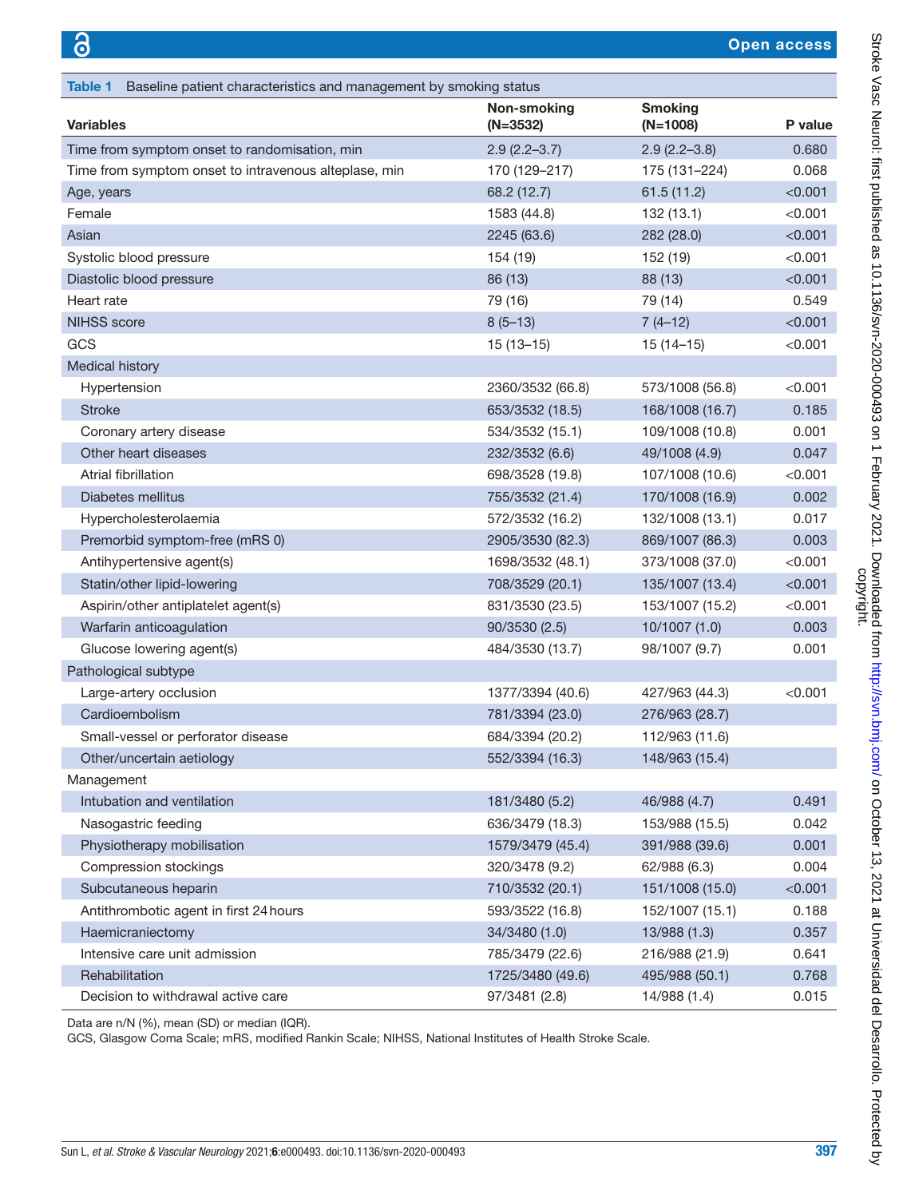<span id="page-2-0"></span>

| Baseline patient characteristics and management by smoking status<br><b>Table 1</b> |                                  |                              |               |
|-------------------------------------------------------------------------------------|----------------------------------|------------------------------|---------------|
| <b>Variables</b>                                                                    | <b>Non-smoking</b><br>$(N=3532)$ | <b>Smoking</b><br>$(N=1008)$ | P value       |
| Time from symptom onset to randomisation, min                                       | $2.9(2.2 - 3.7)$                 | $2.9(2.2 - 3.8)$             | 0.680         |
| Time from symptom onset to intravenous alteplase, min                               | 170 (129-217)                    | 175 (131-224)                | 0.068         |
| Age, years                                                                          | 68.2 (12.7)                      | 61.5(11.2)                   | < 0.001       |
| Female                                                                              | 1583 (44.8)                      | 132(13.1)                    | $<$ 0.001 $<$ |
| Asian                                                                               | 2245 (63.6)                      | 282 (28.0)                   | < 0.001       |
| Systolic blood pressure                                                             | 154 (19)                         | 152 (19)                     | < 0.001       |
| Diastolic blood pressure                                                            | 86 (13)                          | 88 (13)                      | < 0.001       |
| Heart rate                                                                          | 79 (16)                          | 79 (14)                      | 0.549         |
| <b>NIHSS</b> score                                                                  | $8(5-13)$                        | $7(4-12)$                    | < 0.001       |
| GCS                                                                                 | $15(13-15)$                      | $15(14-15)$                  | < 0.001       |
| Medical history                                                                     |                                  |                              |               |
| Hypertension                                                                        | 2360/3532 (66.8)                 | 573/1008 (56.8)              | < 0.001       |
| <b>Stroke</b>                                                                       | 653/3532 (18.5)                  | 168/1008 (16.7)              | 0.185         |
| Coronary artery disease                                                             | 534/3532 (15.1)                  | 109/1008 (10.8)              | 0.001         |
| Other heart diseases                                                                | 232/3532 (6.6)                   | 49/1008 (4.9)                | 0.047         |
| Atrial fibrillation                                                                 | 698/3528 (19.8)                  | 107/1008 (10.6)              | < 0.001       |
| Diabetes mellitus                                                                   | 755/3532 (21.4)                  | 170/1008 (16.9)              | 0.002         |
| Hypercholesterolaemia                                                               | 572/3532 (16.2)                  | 132/1008 (13.1)              | 0.017         |
| Premorbid symptom-free (mRS 0)                                                      | 2905/3530 (82.3)                 | 869/1007 (86.3)              | 0.003         |
| Antihypertensive agent(s)                                                           | 1698/3532 (48.1)                 | 373/1008 (37.0)              | < 0.001       |
| Statin/other lipid-lowering                                                         | 708/3529 (20.1)                  | 135/1007 (13.4)              | < 0.001       |
| Aspirin/other antiplatelet agent(s)                                                 | 831/3530 (23.5)                  | 153/1007 (15.2)              | < 0.001       |
| Warfarin anticoagulation                                                            | 90/3530 (2.5)                    | 10/1007(1.0)                 | 0.003         |
| Glucose lowering agent(s)                                                           | 484/3530 (13.7)                  | 98/1007 (9.7)                | 0.001         |
| Pathological subtype                                                                |                                  |                              |               |
| Large-artery occlusion                                                              | 1377/3394 (40.6)                 | 427/963 (44.3)               | < 0.001       |
| Cardioembolism                                                                      | 781/3394 (23.0)                  | 276/963 (28.7)               |               |
| Small-vessel or perforator disease                                                  | 684/3394 (20.2)                  | 112/963 (11.6)               |               |
| Other/uncertain aetiology                                                           | 552/3394 (16.3)                  | 148/963 (15.4)               |               |
| Management                                                                          |                                  |                              |               |
| Intubation and ventilation                                                          | 181/3480 (5.2)                   | 46/988 (4.7)                 | 0.491         |
| Nasogastric feeding                                                                 | 636/3479 (18.3)                  | 153/988 (15.5)               | 0.042         |
| Physiotherapy mobilisation                                                          | 1579/3479 (45.4)                 | 391/988 (39.6)               | 0.001         |
| Compression stockings                                                               | 320/3478 (9.2)                   | 62/988 (6.3)                 | 0.004         |
| Subcutaneous heparin                                                                | 710/3532 (20.1)                  | 151/1008 (15.0)              | < 0.001       |
| Antithrombotic agent in first 24 hours                                              | 593/3522 (16.8)                  | 152/1007 (15.1)              | 0.188         |
| Haemicraniectomy                                                                    | 34/3480 (1.0)                    | 13/988 (1.3)                 | 0.357         |
| Intensive care unit admission                                                       | 785/3479 (22.6)                  | 216/988 (21.9)               | 0.641         |
| Rehabilitation                                                                      | 1725/3480 (49.6)                 | 495/988 (50.1)               | 0.768         |
| Decision to withdrawal active care                                                  | 97/3481 (2.8)                    | 14/988 (1.4)                 | 0.015         |

Data are n/N (%), mean (SD) or median (IQR).

GCS, Glasgow Coma Scale; mRS, modified Rankin Scale; NIHSS, National Institutes of Health Stroke Scale.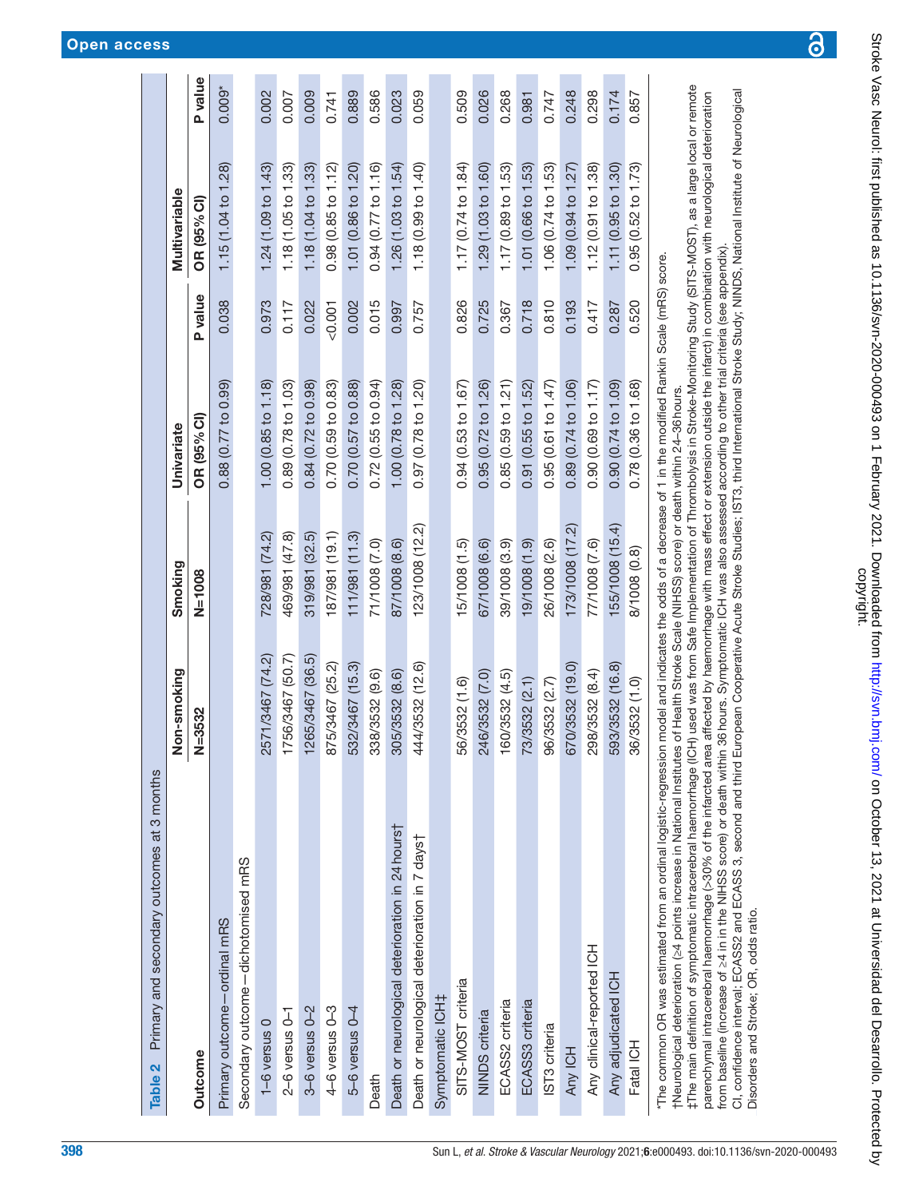<span id="page-3-0"></span>

| Primary and secondary outcomes at 3 months                                                                                                                                                                                                                                                              | Non-smoking      | Smoking         | Univariate          |          | Multivariable                  |         |
|---------------------------------------------------------------------------------------------------------------------------------------------------------------------------------------------------------------------------------------------------------------------------------------------------------|------------------|-----------------|---------------------|----------|--------------------------------|---------|
| <b>Outcome</b>                                                                                                                                                                                                                                                                                          | $N = 3532$       | $N = 1008$      | OR (95% CI)         | P value  | OR (95% CI)                    | P value |
| Primary outcome-ordinal mRS                                                                                                                                                                                                                                                                             |                  |                 | 0.88(0.77 to 0.99)  | 0.038    | 1.15 (1.04 to 1.28)            | 0.009   |
| Secondary outcome-dichotomised mRS                                                                                                                                                                                                                                                                      |                  |                 |                     |          |                                |         |
| $1-6$ versus $0$                                                                                                                                                                                                                                                                                        | 2571/3467 (74.2) | 728/981 (74.2)  | 1.00(0.85 to 1.18)  | 0.973    | 1.24 (1.09 to 1.43)            | 0.002   |
| $2-6$ versus $0-1$                                                                                                                                                                                                                                                                                      | 1756/3467 (50.7) | 469/981 (47.8)  | 0.89 (0.78 to 1.03) | 0.117    | 1.18(1.05 to 1.33)             | 0.007   |
| $3-6$ versus $0-2$                                                                                                                                                                                                                                                                                      | 1265/3467 (36.5) | 319/981 (32.5)  | 0.84(0.72 to 0.98)  | 0.022    | 1.18 (1.04 to 1.33)            | 0.009   |
| 4-6 versus 0-3                                                                                                                                                                                                                                                                                          | 875/3467 (25.2)  | 187/981 (19.1)  | 0.70(0.59 to 0.83)  | $-0.001$ | 0.98(0.85 to 1.12)             | 0.741   |
| 5-6 versus 0-4                                                                                                                                                                                                                                                                                          | 532/3467 (15.3)  | 111/981 (11.3)  | 0.70(0.57 to 0.88)  | 0.002    | 1.01 (0.86 to 1.20)            | 0.889   |
| Death                                                                                                                                                                                                                                                                                                   | 338/3532 (9.6)   | 71/1008 (7.0)   | 0.72(0.55 to 0.94)  | 0.015    | 0.94 (0.77 to 1.16)            | 0.586   |
| Death or neurological deterioration in 24 hours†                                                                                                                                                                                                                                                        | 305/3532 (8.6)   | 87/1008 (8.6)   | 1.00 (0.78 to 1.28) | 0.997    | 1.26 (1.03 to 1.54)            | 0.023   |
| Death or neurological deterioration in 7 days†                                                                                                                                                                                                                                                          | 444/3532 (12.6)  | 123/1008 (12.2) | 0.97 (0.78 to 1.20) | 0.757    | 1.18(0.99 to 1.40)             | 0.059   |
| Symptomatic ICH <sub>+</sub>                                                                                                                                                                                                                                                                            |                  |                 |                     |          |                                |         |
| SITS-MOST criteria                                                                                                                                                                                                                                                                                      | 56/3532 (1.6)    | 15/1008 (1.5)   | 0.94(0.53 to 1.67)  | 0.826    | 1.17 $(0.74 \text{ to } 1.84)$ | 0.509   |
| <b>NINDS</b> criteria                                                                                                                                                                                                                                                                                   | 246/3532 (7.0)   | 67/1008 (6.6)   | 0.95(0.72 to 1.26)  | 0.725    | 1.29 (1.03 to 1.60)            | 0.026   |
| ECASS2 criteria                                                                                                                                                                                                                                                                                         | 160/3532 (4.5)   | 39/1008 (3.9)   | 0.85(0.59 to 1.21)  | 0.367    | 1.17(0.89 to 1.53)             | 0.268   |
| ECASS3 criteria                                                                                                                                                                                                                                                                                         | 73/3532 (2.1)    | 19/1008 (1.9)   | 0.91(0.55 to 1.52)  | 0.718    | 1.01 (0.66 to 1.53)            | 0.981   |
| IST3 criteria                                                                                                                                                                                                                                                                                           | 96/3532 (2.7)    | 26/1008 (2.6)   | 0.95(0.61 to 1.47)  | 0.810    | 1.06 $(0.74 \text{ to } 1.53)$ | 0.747   |
| Any ICH                                                                                                                                                                                                                                                                                                 | 670/3532 (19.0)  | 173/1008 (17.2) | 0.89 (0.74 to 1.06) | 0.193    | 1.09(0.94 to 1.27)             | 0.248   |
| Any clinical-reported ICH                                                                                                                                                                                                                                                                               | 298/3532 (8.4)   | 77/1008 (7.6)   | 0.90(0.69 to 1.17)  | 0.417    | 1.12(0.91 to 1.38)             | 0.298   |
| Any adjudicated ICH                                                                                                                                                                                                                                                                                     | 593/3532 (16.8)  | 155/1008 (15.4) | 0.90(0.74 to 1.09)  | 0.287    | 1.11 (0.95 to 1.30)            | 0.174   |
| Fatal ICH                                                                                                                                                                                                                                                                                               | 36/3532 (1.0)    | 8/1008 (0.8)    | 0.78(0.36 to 1.68)  | 0.520    | 0.95(0.52 to 1.73)             | 0.857   |
| *The common OR was estimated from an ordinal logistic-regression model and indicates the odds of a decrease of 1 in the modified Rankin Scale (mRS) score.<br>tNeurological deterioration (24 points increase in National Institutes of Health Stroke Scale (NIHSS) score) or death within 24-36 hours. |                  |                 |                     |          |                                |         |

#The main definition of symptomatic intracerebral haemorrhage (ICH) used was from Safe Implementation of Thrombolysis in Stroke-Monitoring Study (SITS-MOST), as a large local or remote ‡The main definition of symptomatic intracerebral haemorrhage (ICH) used was from Safe Implementation of Thrombolysis in Stroke-Monitoring Study (SITS-MOST), as a large local or remote 7

CI, confidence interval; ECASS2 and ECASS 3, second and third European Cooperative Acute Stroke Studies; IST3, third International Stroke Study; NINDS, National Institute of Neurological CI, confidence interval; ECASS2 and ECASS 3, second and third European Cooperative Acute Stroke Studies; IST3, third International Stroke Study; NINDS, National Institute of Neurological parenchymal intracerebral haemorrhage (>30% of the infarcted area affected by haemorrhage with mass effect or extension outside the infarct) in combination with neurological deterioration parenchymal intracerebral haemorrhage (>30% of the infarcted area affected by haemorrhage with mass effect or extension outside the infarct) in combination with neurological deterioration from baseline (increase of 24 in in the NIHSS score) or death within 36 hours. Symptomatic ICH was also assessed according to other trial criteria (see appendix). from baseline (increase of ≥4 in in the NIHSS score) or death within 36hours. Symptomatic ICH was also assessed according to other trial criteria (see appendix).

ခြ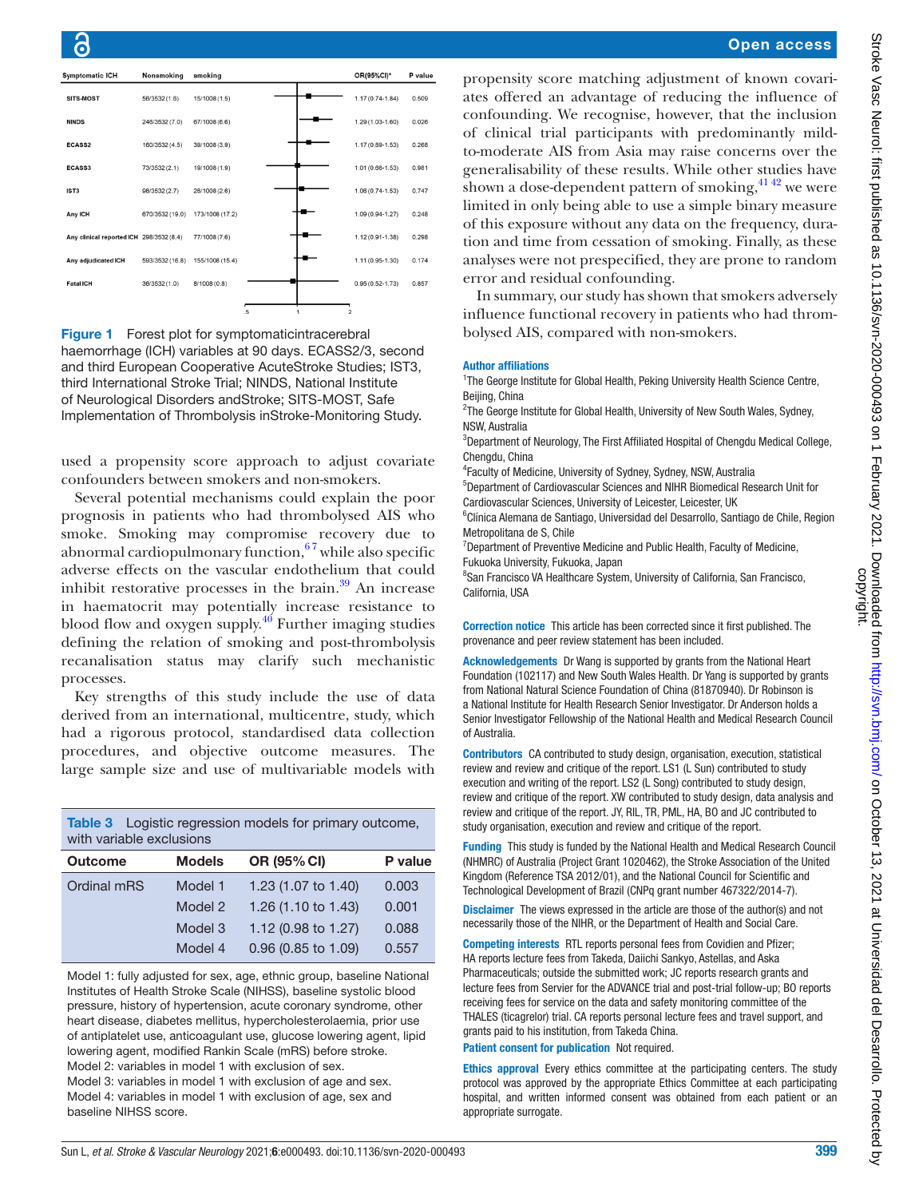| <b>Symptomatic ICH</b>                   | Nonsmoking      | smoking         |    |                | OR(95%CI)*          | P value |
|------------------------------------------|-----------------|-----------------|----|----------------|---------------------|---------|
| SITS-MOST                                | 56/3532 (1.6)   | 15/1008 (1.5)   |    |                | $1.17(0.74 - 1.84)$ | 0.509   |
| <b>NINDS</b>                             | 246/3532 (7.0)  | 67/1008 (6.6)   |    |                | 1.29 (1.03-1.60)    | 0.026   |
| ECASS2                                   | 160/3532 (4.5)  | 39/1008 (3.9)   |    |                | 1.17 (0.89-1.53)    | 0.268   |
| ECASS3                                   | 73/3532 (2.1)   | 19/1008 (1.9)   |    |                | 1.01 (0.66-1.53)    | 0.981   |
| IST <sub>3</sub>                         | 96/3532 (2.7)   | 26/1008 (2.6)   |    |                | 1.06 (0.74-1.53)    | 0.747   |
| Any ICH                                  | 670/3532 (19.0) | 173/1008 (17.2) |    |                | 1.09 (0.94-1.27)    | 0.248   |
| Any clinical reported ICH 298/3532 (8.4) |                 | 77/1008 (7.6)   |    |                | 1.12 (0.91-1.38)    | 0.298   |
| Any adjudicated ICH                      | 593/3532 (16.8) | 155/1008 (15.4) |    |                | $1.11(0.95 - 1.30)$ | 0.174   |
| <b>Fatal ICH</b>                         | 36/3532(1.0)    | 8/1008(0.8)     |    |                | $0.95(0.52 - 1.73)$ | 0.857   |
|                                          |                 |                 | .5 | $\overline{2}$ |                     |         |

<span id="page-4-0"></span>Figure 1 Forest plot for symptomatic intracerebral haemorrhage (ICH) variables at 90 days. ECASS2/3, second and third European Cooperative AcuteStroke Studies; IST3, third International Stroke Trial; NINDS, National Institute of Neurological Disorders andStroke; SITS-MOST, Safe Implementation of Thrombolysis inStroke-Monitoring Study.

used a propensity score approach to adjust covariate confounders between smokers and non-smokers.

Several potential mechanisms could explain the poor prognosis in patients who had thrombolysed AIS who smoke. Smoking may compromise recovery due to abnormal cardiopulmonary function,  $67$  while also specific adverse effects on the vascular endothelium that could inhibit restorative processes in the brain. $39$  An increase in haematocrit may potentially increase resistance to blood flow and oxygen supply. $40$  Further imaging studies defining the relation of smoking and post-thrombolysis recanalisation status may clarify such mechanistic processes.

Key strengths of this study include the use of data derived from an international, multicentre, study, which had a rigorous protocol, standardised data collection procedures, and objective outcome measures. The large sample size and use of multivariable models with

<span id="page-4-1"></span>

| <b>Table 3</b> Logistic regression models for primary outcome, |
|----------------------------------------------------------------|
| with variable exclusions                                       |

| <b>Outcome</b> | <b>Models</b> | OR (95% CI)         | P value |
|----------------|---------------|---------------------|---------|
| Ordinal mRS    | Model 1       | 1.23 (1.07 to 1.40) | 0.003   |
|                | Model 2       | 1.26 (1.10 to 1.43) | 0.001   |
|                | Model 3       | 1.12 (0.98 to 1.27) | 0.088   |
|                | Model 4       | 0.96 (0.85 to 1.09) | 0.557   |

Model 1: fully adjusted for sex, age, ethnic group, baseline National Institutes of Health Stroke Scale (NIHSS), baseline systolic blood pressure, history of hypertension, acute coronary syndrome, other heart disease, diabetes mellitus, hypercholesterolaemia, prior use of antiplatelet use, anticoagulant use, glucose lowering agent, lipid lowering agent, modified Rankin Scale (mRS) before stroke. Model 2: variables in model 1 with exclusion of sex.

Model 3: variables in model 1 with exclusion of age and sex. Model 4: variables in model 1 with exclusion of age, sex and baseline NIHSS score.

## Open access

propensity score matching adjustment of known covariates offered an advantage of reducing the influence of confounding. We recognise, however, that the inclusion of clinical trial participants with predominantly mildto-moderate AIS from Asia may raise concerns over the generalisability of these results. While other studies have shown a dose-dependent pattern of smoking, $4142$  we were limited in only being able to use a simple binary measure of this exposure without any data on the frequency, duration and time from cessation of smoking. Finally, as these analyses were not prespecified, they are prone to random error and residual confounding.

In summary, our study has shown that smokers adversely influence functional recovery in patients who had thrombolysed AIS, compared with non-smokers.

#### Author affiliations

<sup>1</sup>The George Institute for Global Health, Peking University Health Science Centre, Beijing, China

<sup>2</sup>The George Institute for Global Health, University of New South Wales, Sydney, NSW, Australia

<sup>3</sup>Department of Neurology, The First Affiliated Hospital of Chengdu Medical College, Chengdu, China

4 Faculty of Medicine, University of Sydney, Sydney, NSW, Australia

5 Department of Cardiovascular Sciences and NIHR Biomedical Research Unit for Cardiovascular Sciences, University of Leicester, Leicester, UK

<sup>6</sup>Clínica Alemana de Santiago, Universidad del Desarrollo, Santiago de Chile, Region Metropolitana de S, Chile

<sup>7</sup>Department of Preventive Medicine and Public Health, Faculty of Medicine, Fukuoka University, Fukuoka, Japan

<sup>8</sup> San Francisco VA Healthcare System, University of California, San Francisco, California, USA

Correction notice This article has been corrected since it first published. The provenance and peer review statement has been included.

Acknowledgements Dr Wang is supported by grants from the National Heart Foundation (102117) and New South Wales Health. Dr Yang is supported by grants from National Natural Science Foundation of China (81870940). Dr Robinson is a National Institute for Health Research Senior Investigator. Dr Anderson holds a Senior Investigator Fellowship of the National Health and Medical Research Council of Australia.

Contributors CA contributed to study design, organisation, execution, statistical review and review and critique of the report. LS1 (L Sun) contributed to study execution and writing of the report. LS2 (L Song) contributed to study design, review and critique of the report. XW contributed to study design, data analysis and review and critique of the report. JY, RIL, TR, PML, HA, BO and JC contributed to study organisation, execution and review and critique of the report.

Funding This study is funded by the National Health and Medical Research Council (NHMRC) of Australia (Project Grant 1020462), the Stroke Association of the United Kingdom (Reference TSA 2012/01), and the National Council for Scientific and Technological Development of Brazil (CNPq grant number 467322/2014-7).

Disclaimer The views expressed in the article are those of the author(s) and not necessarily those of the NIHR, or the Department of Health and Social Care.

Competing interests RTL reports personal fees from Covidien and Pfizer; HA reports lecture fees from Takeda, Daiichi Sankyo, Astellas, and Aska Pharmaceuticals; outside the submitted work; JC reports research grants and lecture fees from Servier for the ADVANCE trial and post-trial follow-up; BO reports receiving fees for service on the data and safety monitoring committee of the THALES (ticagrelor) trial. CA reports personal lecture fees and travel support, and grants paid to his institution, from Takeda China.

## Patient consent for publication Not required.

Ethics approval Every ethics committee at the participating centers. The study protocol was approved by the appropriate Ethics Committee at each participating hospital, and written informed consent was obtained from each patient or an appropriate surrogate.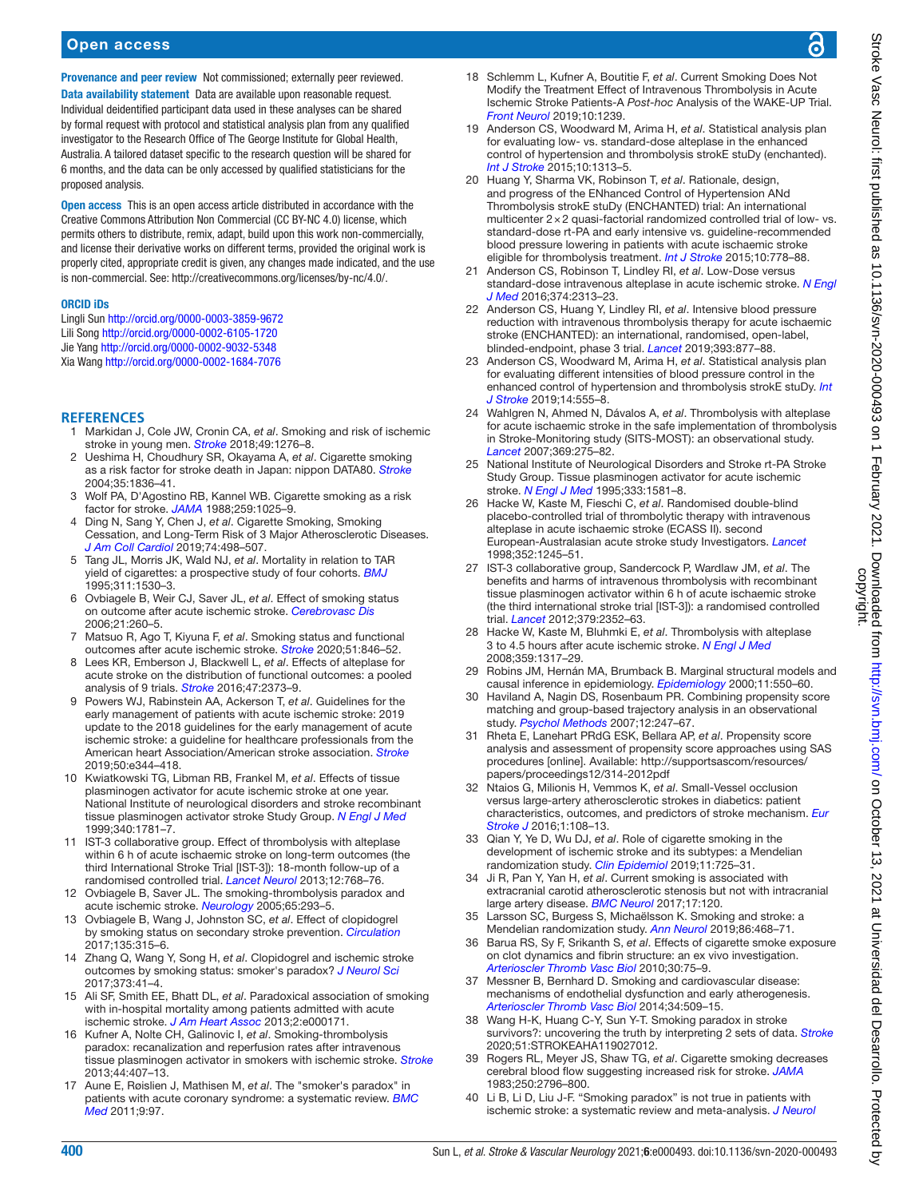# Open access

Provenance and peer review Not commissioned; externally peer reviewed. Data availability statement Data are available upon reasonable request. Individual deidentified participant data used in these analyses can be shared by formal request with protocol and statistical analysis plan from any qualified investigator to the Research Office of The George Institute for Global Health, Australia. A tailored dataset specific to the research question will be shared for 6 months, and the data can be only accessed by qualified statisticians for the proposed analysis.

Open access This is an open access article distributed in accordance with the Creative Commons Attribution Non Commercial (CC BY-NC 4.0) license, which permits others to distribute, remix, adapt, build upon this work non-commercially, and license their derivative works on different terms, provided the original work is properly cited, appropriate credit is given, any changes made indicated, and the use is non-commercial. See: <http://creativecommons.org/licenses/by-nc/4.0/>.

#### ORCID iDs

Lingli Sun <http://orcid.org/0000-0003-3859-9672> Lili Song <http://orcid.org/0000-0002-6105-1720> Jie Yang <http://orcid.org/0000-0002-9032-5348> Xia Wang <http://orcid.org/0000-0002-1684-7076>

### **REFERENCES**

- <span id="page-5-0"></span>1 Markidan J, Cole JW, Cronin CA, *et al*. Smoking and risk of ischemic stroke in young men. *[Stroke](http://dx.doi.org/10.1161/STROKEAHA.117.018859)* 2018;49:1276–8.
- 2 Ueshima H, Choudhury SR, Okayama A, *et al*. Cigarette smoking as a risk factor for stroke death in Japan: nippon DATA80. *[Stroke](http://dx.doi.org/10.1161/01.STR.0000131747.84423.74)* 2004;35:1836–41.
- 3 Wolf PA, D'Agostino RB, Kannel WB. Cigarette smoking as a risk factor for stroke. *[JAMA](http://dx.doi.org/10.1001/jama.1988.03720070025028)* 1988;259:1025–9.
- 4 Ding N, Sang Y, Chen J, *et al*. Cigarette Smoking, Smoking Cessation, and Long-Term Risk of 3 Major Atherosclerotic Diseases. *[J Am Coll Cardiol](http://dx.doi.org/10.1016/j.jacc.2019.05.049)* 2019;74:498–507.
- <span id="page-5-1"></span>5 Tang JL, Morris JK, Wald NJ, *et al*. Mortality in relation to TAR yield of cigarettes: a prospective study of four cohorts. *[BMJ](http://dx.doi.org/10.1136/bmj.311.7019.1530)* 1995;311:1530–3.
- <span id="page-5-18"></span>6 Ovbiagele B, Weir CJ, Saver JL, *et al*. Effect of smoking status on outcome after acute ischemic stroke. *[Cerebrovasc Dis](http://dx.doi.org/10.1159/000091224)* 2006;21:260–5.
- <span id="page-5-14"></span>7 Matsuo R, Ago T, Kiyuna F, *et al*. Smoking status and functional outcomes after acute ischemic stroke. *[Stroke](http://dx.doi.org/10.1161/STROKEAHA.119.027230)* 2020;51:846–52.
- <span id="page-5-2"></span>8 Lees KR, Emberson J, Blackwell L, *et al*. Effects of alteplase for acute stroke on the distribution of functional outcomes: a pooled analysis of 9 trials. *[Stroke](http://dx.doi.org/10.1161/STROKEAHA.116.013644)* 2016;47:2373–9.
- 9 Powers WJ, Rabinstein AA, Ackerson T, *et al*. Guidelines for the early management of patients with acute ischemic stroke: 2019 update to the 2018 guidelines for the early management of acute ischemic stroke: a guideline for healthcare professionals from the American heart Association/American stroke association. *[Stroke](http://dx.doi.org/10.1161/STR.0000000000000211)* 2019;50:e344–418.
- 10 Kwiatkowski TG, Libman RB, Frankel M, *et al*. Effects of tissue plasminogen activator for acute ischemic stroke at one year. National Institute of neurological disorders and stroke recombinant tissue plasminogen activator stroke Study Group. *[N Engl J Med](http://dx.doi.org/10.1056/NEJM199906103402302)* 1999;340:1781–7.
- 11 IST-3 collaborative group. Effect of thrombolysis with alteplase within 6 h of acute ischaemic stroke on long-term outcomes (the third International Stroke Trial [IST-3]): 18-month follow-up of a randomised controlled trial. *[Lancet Neurol](http://dx.doi.org/10.1016/S1474-4422(13)70130-3)* 2013;12:768–76.
- <span id="page-5-3"></span>12 Ovbiagele B, Saver JL. The smoking-thrombolysis paradox and acute ischemic stroke. *[Neurology](http://dx.doi.org/10.1212/01.WNL.0000168163.72351.f3)* 2005;65:293–5.
- <span id="page-5-4"></span>13 Ovbiagele B, Wang J, Johnston SC, *et al*. Effect of clopidogrel by smoking status on secondary stroke prevention. *[Circulation](http://dx.doi.org/10.1161/CIRCULATIONAHA.116.024957)* 2017;135:315–6.
- 14 Zhang Q, Wang Y, Song H, *et al*. Clopidogrel and ischemic stroke outcomes by smoking status: smoker's paradox? *[J Neurol Sci](http://dx.doi.org/10.1016/j.jns.2016.12.025)* 2017;373:41–4.
- <span id="page-5-5"></span>15 Ali SF, Smith EE, Bhatt DL, *et al*. Paradoxical association of smoking with in-hospital mortality among patients admitted with acute ischemic stroke. *[J Am Heart Assoc](http://dx.doi.org/10.1161/JAHA.113.000171)* 2013;2:e000171.
- <span id="page-5-16"></span>16 Kufner A, Nolte CH, Galinovic I, *et al*. Smoking-thrombolysis paradox: recanalization and reperfusion rates after intravenous tissue plasminogen activator in smokers with ischemic stroke. *[Stroke](http://dx.doi.org/10.1161/STROKEAHA.112.662148)* 2013;44:407–13.
- <span id="page-5-6"></span>17 Aune E, Røislien J, Mathisen M, *et al*. The "smoker's paradox" in patients with acute coronary syndrome: a systematic review. *[BMC](http://dx.doi.org/10.1186/1741-7015-9-97)  [Med](http://dx.doi.org/10.1186/1741-7015-9-97)* 2011;9:97.
- <span id="page-5-7"></span>18 Schlemm L, Kufner A, Boutitie F, *et al*. Current Smoking Does Not Modify the Treatment Effect of Intravenous Thrombolysis in Acute Ischemic Stroke Patients-A *Post-hoc* Analysis of the WAKE-UP Trial. *[Front Neurol](http://dx.doi.org/10.3389/fneur.2019.01239)* 2019;10:1239.
- <span id="page-5-8"></span>19 Anderson CS, Woodward M, Arima H, *et al*. Statistical analysis plan for evaluating low- vs. standard-dose alteplase in the enhanced control of hypertension and thrombolysis strokE stuDy (enchanted). *[Int J Stroke](http://dx.doi.org/10.1111/ijs.12602)* 2015;10:1313–5.
- 20 Huang Y, Sharma VK, Robinson T, *et al*. Rationale, design, and progress of the ENhanced Control of Hypertension ANd Thrombolysis strokE stuDy (ENCHANTED) trial: An international multicenter 2×2 quasi-factorial randomized controlled trial of low- vs. standard-dose rt-PA and early intensive vs. guideline-recommended blood pressure lowering in patients with acute ischaemic stroke eligible for thrombolysis treatment. *[Int J Stroke](http://dx.doi.org/10.1111/ijs.12486)* 2015;10:778–88.
- 21 Anderson CS, Robinson T, Lindley RI, *et al*. Low-Dose versus standard-dose intravenous alteplase in acute ischemic stroke. *[N Engl](http://dx.doi.org/10.1056/NEJMoa1515510)  [J Med](http://dx.doi.org/10.1056/NEJMoa1515510)* 2016;374:2313–23.
- 22 Anderson CS, Huang Y, Lindley RI, *et al*. Intensive blood pressure reduction with intravenous thrombolysis therapy for acute ischaemic stroke (ENCHANTED): an international, randomised, open-label, blinded-endpoint, phase 3 trial. *[Lancet](http://dx.doi.org/10.1016/S0140-6736(19)30038-8)* 2019;393:877–88.
- 23 Anderson CS, Woodward M, Arima H, *et al*. Statistical analysis plan for evaluating different intensities of blood pressure control in the enhanced control of hypertension and thrombolysis strokE stuDy. *[Int](http://dx.doi.org/10.1177/1747493018806170)  [J Stroke](http://dx.doi.org/10.1177/1747493018806170)* 2019;14:555–8.
- <span id="page-5-9"></span>24 Wahlgren N, Ahmed N, Dávalos A, *et al*. Thrombolysis with alteplase for acute ischaemic stroke in the safe implementation of thrombolysis in Stroke-Monitoring study (SITS-MOST): an observational study. *[Lancet](http://dx.doi.org/10.1016/S0140-6736(07)60149-4)* 2007;369:275–82.
- <span id="page-5-10"></span>25 National Institute of Neurological Disorders and Stroke rt-PA Stroke Study Group. Tissue plasminogen activator for acute ischemic stroke. *[N Engl J Med](http://dx.doi.org/10.1056/NEJM199512143332401)* 1995;333:1581–8.
- 26 Hacke W, Kaste M, Fieschi C, *et al*. Randomised double-blind placebo-controlled trial of thrombolytic therapy with intravenous alteplase in acute ischaemic stroke (ECASS II). second European-Australasian acute stroke study Investigators. *[Lancet](http://dx.doi.org/10.1016/s0140-6736(98)08020-9)* 1998;352:1245–51.
- 27 IST-3 collaborative group, Sandercock P, Wardlaw JM, *et al*. The benefits and harms of intravenous thrombolysis with recombinant tissue plasminogen activator within 6 h of acute ischaemic stroke (the third international stroke trial [IST-3]): a randomised controlled trial. *[Lancet](http://dx.doi.org/10.1016/S0140-6736(12)60768-5)* 2012;379:2352–63.
- 28 Hacke W, Kaste M, Bluhmki E, *et al*. Thrombolysis with alteplase 3 to 4.5 hours after acute ischemic stroke. *[N Engl J Med](http://dx.doi.org/10.1056/NEJMoa0804656)* 2008;359:1317–29.
- <span id="page-5-11"></span>29 Robins JM, Hernán MA, Brumback B. Marginal structural models and causal inference in epidemiology. *[Epidemiology](http://dx.doi.org/10.1097/00001648-200009000-00011)* 2000;11:550–60.
- <span id="page-5-12"></span>30 Haviland A, Nagin DS, Rosenbaum PR. Combining propensity score matching and group-based trajectory analysis in an observational study. *[Psychol Methods](http://dx.doi.org/10.1037/1082-989X.12.3.247)* 2007;12:247–67.
- <span id="page-5-13"></span>31 Rheta E, Lanehart PRdG ESK, Bellara AP, *et al*. Propensity score analysis and assessment of propensity score approaches using SAS procedures [online]. Available: [http://supportsascom/resources/](http://supportsascom/resources/papers/proceedings12/314-2012pdf) [papers/proceedings12/314-2012pdf](http://supportsascom/resources/papers/proceedings12/314-2012pdf)
- 32 Ntaios G, Milionis H, Vemmos K, *et al*. Small-Vessel occlusion versus large-artery atherosclerotic strokes in diabetics: patient characteristics, outcomes, and predictors of stroke mechanism. *[Eur](http://dx.doi.org/10.1177/2396987316647856)  [Stroke J](http://dx.doi.org/10.1177/2396987316647856)* 2016;1:108–13.
- <span id="page-5-15"></span>33 Qian Y, Ye D, Wu DJ, *et al*. Role of cigarette smoking in the development of ischemic stroke and its subtypes: a Mendelian randomization study. *[Clin Epidemiol](http://dx.doi.org/10.2147/CLEP.S215933)* 2019;11:725–31.
- 34 Ji R, Pan Y, Yan H, *et al*. Current smoking is associated with extracranial carotid atherosclerotic stenosis but not with intracranial large artery disease. *[BMC Neurol](http://dx.doi.org/10.1186/s12883-017-0873-7)* 2017;17:120.
- 35 Larsson SC, Burgess S, Michaëlsson K. Smoking and stroke: a Mendelian randomization study. *[Ann Neurol](http://dx.doi.org/10.1002/ana.25534)* 2019;86:468–71.
- 36 Barua RS, Sy F, Srikanth S, *et al*. Effects of cigarette smoke exposure on clot dynamics and fibrin structure: an ex vivo investigation. *[Arterioscler Thromb Vasc Biol](http://dx.doi.org/10.1161/ATVBAHA.109.195024)* 2010;30:75–9.
- 37 Messner B, Bernhard D. Smoking and cardiovascular disease: mechanisms of endothelial dysfunction and early atherogenesis. *[Arterioscler Thromb Vasc Biol](http://dx.doi.org/10.1161/ATVBAHA.113.300156)* 2014;34:509–15.
- <span id="page-5-17"></span>38 Wang H-K, Huang C-Y, Sun Y-T. Smoking paradox in stroke survivors?: uncovering the truth by interpreting 2 sets of data. *[Stroke](http://dx.doi.org/10.1161/STROKEAHA.119.027012)* 2020;51:STROKEAHA119027012.
- <span id="page-5-19"></span>39 Rogers RL, Meyer JS, Shaw TG, *et al*. Cigarette smoking decreases cerebral blood flow suggesting increased risk for stroke. *[JAMA](http://dx.doi.org/10.1001/jama.1983.03340200030024)* 1983;250:2796–800.
- <span id="page-5-20"></span>Li B, Li D, Liu J-F. "Smoking paradox" is not true in patients with ischemic stroke: a systematic review and meta-analysis. *[J Neurol](http://dx.doi.org/10.1007/s00415-019-09596-3)*